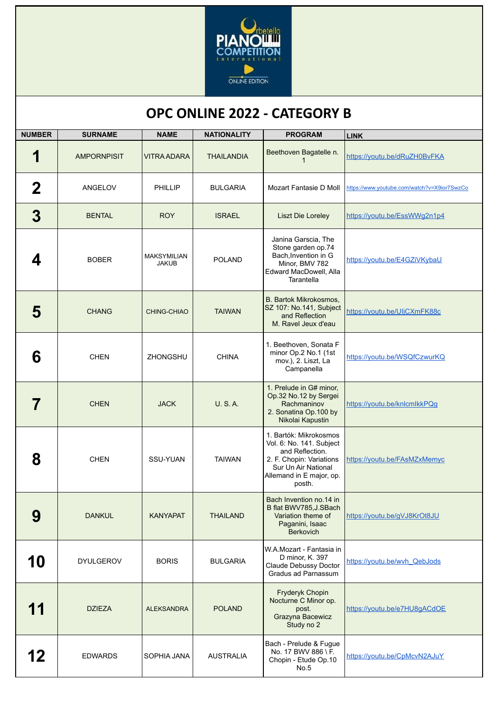

## **OPC ONLINE 2022 - CATEGORY B**

| <b>NUMBER</b> | <b>SURNAME</b>     | <b>NAME</b>                        | <b>NATIONALITY</b> | <b>PROGRAM</b>                                                                                                                                                 | <b>LINK</b>                                 |
|---------------|--------------------|------------------------------------|--------------------|----------------------------------------------------------------------------------------------------------------------------------------------------------------|---------------------------------------------|
| 1             | <b>AMPORNPISIT</b> | <b>VITRA ADARA</b>                 | <b>THAILANDIA</b>  | Beethoven Bagatelle n.                                                                                                                                         | https://youtu.be/dRuZH0BvFKA                |
| $\bf{2}$      | ANGELOV            | PHILLIP                            | <b>BULGARIA</b>    | Mozart Fantasie D Moll                                                                                                                                         | https://www.youtube.com/watch?v=X9ior7SwzCo |
| 3             | <b>BENTAL</b>      | <b>ROY</b>                         | <b>ISRAEL</b>      | <b>Liszt Die Loreley</b>                                                                                                                                       | https://youtu.be/EssWWg2n1p4                |
| 4             | <b>BOBER</b>       | <b>MAKSYMILIAN</b><br><b>JAKUB</b> | <b>POLAND</b>      | Janina Garscia, The<br>Stone garden op.74<br>Bach, Invention in G<br>Minor, BMV 782<br>Edward MacDowell, Alla<br>Tarantella                                    | https://youtu.be/E4GZiVKybaU                |
| 5             | <b>CHANG</b>       | <b>CHING-CHIAO</b>                 | <b>TAIWAN</b>      | B. Bartok Mikrokosmos,<br>SZ 107: No.141, Subject<br>and Reflection<br>M. Ravel Jeux d'eau                                                                     | https://youtu.be/UIjCXmFK88c                |
| 6             | <b>CHEN</b>        | <b>ZHONGSHU</b>                    | <b>CHINA</b>       | 1. Beethoven, Sonata F<br>minor Op.2 No.1 (1st<br>mov.), 2. Liszt, La<br>Campanella                                                                            | https://youtu.be/WSQfCzwurKQ                |
|               | <b>CHEN</b>        | <b>JACK</b>                        | <b>U.S.A.</b>      | 1. Prelude in G# minor,<br>Op.32 No.12 by Sergei<br>Rachmaninov<br>2. Sonatina Op. 100 by<br>Nikolai Kapustin                                                  | https://youtu.be/knlcmlkkPQg                |
| 8             | <b>CHEN</b>        | SSU-YUAN                           | <b>TAIWAN</b>      | 1. Bartók: Mikrokosmos<br>Vol. 6: No. 141. Subject<br>and Reflection.<br>2. F. Chopin: Variations<br>Sur Un Air National<br>Allemand in E major, op.<br>posth. | https://youtu.be/FAsMZxMemyc                |
| 9             | <b>DANKUL</b>      | <b>KANYAPAT</b>                    | <b>THAILAND</b>    | Bach Invention no.14 in<br>B flat BWV785, J.SBach<br>Variation theme of<br>Paganini, Isaac<br><b>Berkovich</b>                                                 | https://youtu.be/qVJ8KrOt8JU                |
| 10            | <b>DYULGEROV</b>   | <b>BORIS</b>                       | <b>BULGARIA</b>    | W.A.Mozart - Fantasia in<br>D minor, K. 397<br>Claude Debussy Doctor<br>Gradus ad Parnassum                                                                    | https://youtu.be/wvh QebJods                |
| 11            | <b>DZIEZA</b>      | <b>ALEKSANDRA</b>                  | <b>POLAND</b>      | Fryderyk Chopin<br>Nocturne C Minor op.<br>post.<br>Grazyna Bacewicz<br>Study no 2                                                                             | https://youtu.be/e7HU8qACdOE                |
| 12            | <b>EDWARDS</b>     | SOPHIA JANA                        | <b>AUSTRALIA</b>   | Bach - Prelude & Fugue<br>No. 17 BWV 886 \ F.<br>Chopin - Etude Op.10<br>No.5                                                                                  | https://youtu.be/CpMcvN2AJuY                |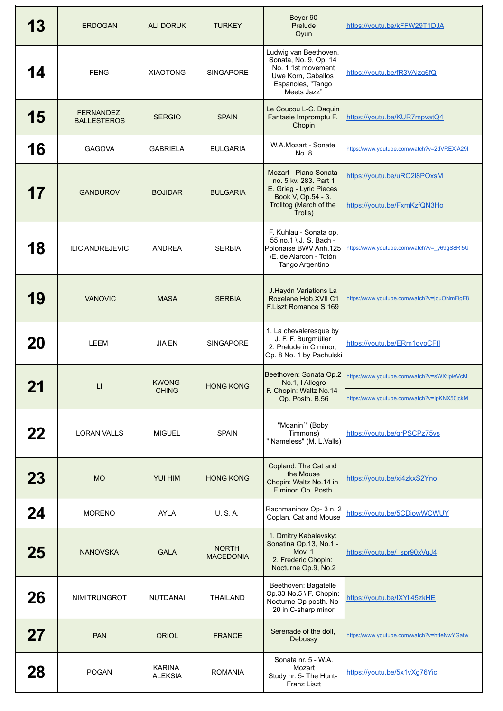| 13        | <b>ERDOGAN</b>                         | <b>ALI DORUK</b>                | <b>TURKEY</b>                    | Beyer 90<br>Prelude<br>Oyun                                                                                                       | https://youtu.be/kFFW29T1DJA                                                               |
|-----------|----------------------------------------|---------------------------------|----------------------------------|-----------------------------------------------------------------------------------------------------------------------------------|--------------------------------------------------------------------------------------------|
| 4         | <b>FENG</b>                            | <b>XIAOTONG</b>                 | <b>SINGAPORE</b>                 | Ludwig van Beethoven,<br>Sonata, No. 9, Op. 14<br>No. 1 1st movement<br>Uwe Korn, Caballos<br>Espanoles, "Tango<br>Meets Jazz"    | https://youtu.be/fR3VAjzq6fQ                                                               |
| 15        | <b>FERNANDEZ</b><br><b>BALLESTEROS</b> | <b>SERGIO</b>                   | <b>SPAIN</b>                     | Le Coucou L-C. Daquin<br>Fantasie Impromptu F.<br>Chopin                                                                          | https://youtu.be/KUR7mpvatQ4                                                               |
| 16        | <b>GAGOVA</b>                          | <b>GABRIELA</b>                 | <b>BULGARIA</b>                  | W.A.Mozart - Sonate<br>No. 8                                                                                                      | https://www.youtube.com/watch?v=2dVREXIA29I                                                |
| 17        | <b>GANDUROV</b>                        | <b>BOJIDAR</b>                  | <b>BULGARIA</b>                  | Mozart - Piano Sonata<br>no. 5 kv. 283. Part 1<br>E. Grieg - Lyric Pieces<br>Book V, Op.54 - 3.<br>Trolltog (March of the         | https://youtu.be/uRO2l8POxsM<br>https://youtu.be/FxmKzfQN3Ho                               |
| 18        | <b>ILIC ANDREJEVIC</b>                 | <b>ANDREA</b>                   | <b>SERBIA</b>                    | Trolls)<br>F. Kuhlau - Sonata op.<br>55 no.1 \ J. S. Bach -<br>Polonaise BWV Anh.125<br>\E. de Alarcon - Totón<br>Tango Argentino | https://www.youtube.com/watch?v= y69gS8RI5U                                                |
| 19        | <b>IVANOVIC</b>                        | <b>MASA</b>                     | <b>SERBIA</b>                    | J. Haydn Variations La<br>Roxelane Hob.XVII C1<br>F.Liszt Romance S 169                                                           | https://www.youtube.com/watch?v=jouONmFigF8                                                |
| 20        | <b>LEEM</b>                            | <b>JIA EN</b>                   | <b>SINGAPORE</b>                 | 1. La chevaleresque by<br>J. F. F. Burgmüller<br>2. Prelude in C minor,<br>Op. 8 No. 1 by Pachulski                               | https://youtu.be/ERm1dvpCFfl                                                               |
| - 11      | LI.                                    | <b>KWONG</b><br><b>CHING</b>    | <b>HONG KONG</b>                 | Beethoven: Sonata Op.2<br>No.1, I Allegro<br>F. Chopin: Waltz No.14<br>Op. Posth. B.56                                            | https://www.youtube.com/watch?v=sWXtipieVcM<br>https://www.youtube.com/watch?v=lpKNX50jckM |
| 22        | <b>LORAN VALLS</b>                     | <b>MIGUEL</b>                   | <b>SPAIN</b>                     | "Moanin'" (Boby<br>Timmons)<br>" Nameless" (M. L.Valls)                                                                           | https://youtu.be/grPSCPz75ys                                                               |
| <b>23</b> | <b>MO</b>                              | <b>YUI HIM</b>                  | <b>HONG KONG</b>                 | Copland: The Cat and<br>the Mouse<br>Chopin: Waltz No.14 in<br>E minor, Op. Posth.                                                | https://youtu.be/xi4zkxS2Yno                                                               |
| 24        | <b>MORENO</b>                          | <b>AYLA</b>                     | U. S. A.                         | Rachmaninov Op- 3 n. 2<br>Coplan, Cat and Mouse                                                                                   | https://youtu.be/5CDiowWCWUY                                                               |
| 25        | <b>NANOVSKA</b>                        | <b>GALA</b>                     | <b>NORTH</b><br><b>MACEDONIA</b> | 1. Dmitry Kabalevsky:<br>Sonatina Op.13, No.1 -<br><b>Mov. 1</b><br>2. Frederic Chopin:<br>Nocturne Op.9, No.2                    | https://youtu.be/ spr90xVuJ4                                                               |
| 26        | NIMITRUNGROT                           | <b>NUTDANAI</b>                 | <b>THAILAND</b>                  | Beethoven: Bagatelle<br>Op.33 No.5 \ F. Chopin:<br>Nocturne Op posth. No<br>20 in C-sharp minor                                   | https://youtu.be/IXYli45zkHE                                                               |
| 27        | <b>PAN</b>                             | <b>ORIOL</b>                    | <b>FRANCE</b>                    | Serenade of the doll,<br>Debussy                                                                                                  | https://www.youtube.com/watch?v=htleNwYGatw                                                |
| 28        | <b>POGAN</b>                           | <b>KARINA</b><br><b>ALEKSIA</b> | <b>ROMANIA</b>                   | Sonata nr. 5 - W.A.<br>Mozart<br>Study nr. 5- The Hunt-<br>Franz Liszt                                                            | https://youtu.be/5x1vXq76Yic                                                               |